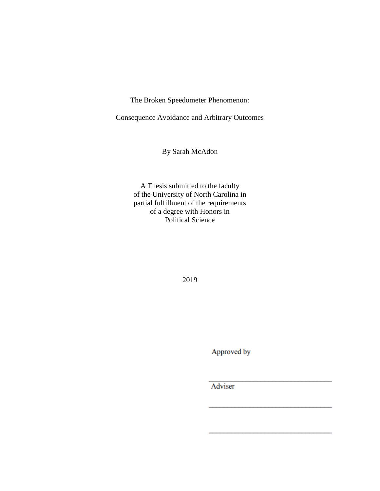The Broken Speedometer Phenomenon:

Consequence Avoidance and Arbitrary Outcomes

By Sarah McAdon

A Thesis submitted to the faculty of the University of North Carolina in partial fulfillment of the requirements of a degree with Honors in Political Science

2019

Approved by

Adviser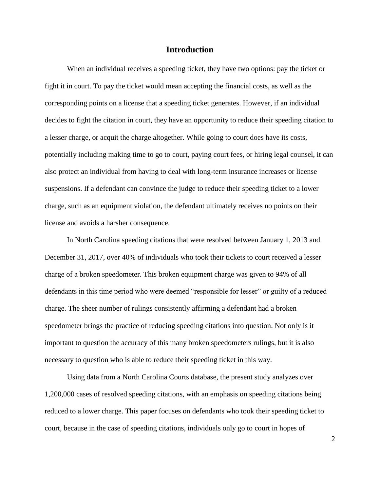# **Introduction**

When an individual receives a speeding ticket, they have two options: pay the ticket or fight it in court. To pay the ticket would mean accepting the financial costs, as well as the corresponding points on a license that a speeding ticket generates. However, if an individual decides to fight the citation in court, they have an opportunity to reduce their speeding citation to a lesser charge, or acquit the charge altogether. While going to court does have its costs, potentially including making time to go to court, paying court fees, or hiring legal counsel, it can also protect an individual from having to deal with long-term insurance increases or license suspensions. If a defendant can convince the judge to reduce their speeding ticket to a lower charge, such as an equipment violation, the defendant ultimately receives no points on their license and avoids a harsher consequence.

In North Carolina speeding citations that were resolved between January 1, 2013 and December 31, 2017, over 40% of individuals who took their tickets to court received a lesser charge of a broken speedometer. This broken equipment charge was given to 94% of all defendants in this time period who were deemed "responsible for lesser" or guilty of a reduced charge. The sheer number of rulings consistently affirming a defendant had a broken speedometer brings the practice of reducing speeding citations into question. Not only is it important to question the accuracy of this many broken speedometers rulings, but it is also necessary to question who is able to reduce their speeding ticket in this way.

Using data from a North Carolina Courts database, the present study analyzes over 1,200,000 cases of resolved speeding citations, with an emphasis on speeding citations being reduced to a lower charge. This paper focuses on defendants who took their speeding ticket to court, because in the case of speeding citations, individuals only go to court in hopes of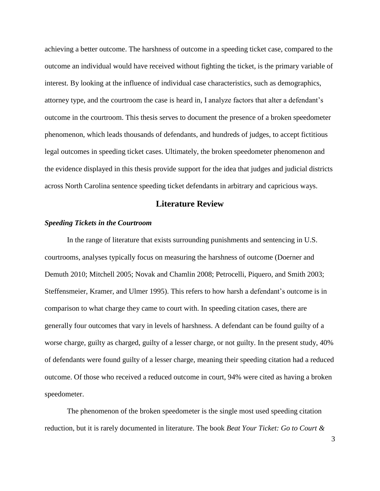achieving a better outcome. The harshness of outcome in a speeding ticket case, compared to the outcome an individual would have received without fighting the ticket, is the primary variable of interest. By looking at the influence of individual case characteristics, such as demographics, attorney type, and the courtroom the case is heard in, I analyze factors that alter a defendant's outcome in the courtroom. This thesis serves to document the presence of a broken speedometer phenomenon, which leads thousands of defendants, and hundreds of judges, to accept fictitious legal outcomes in speeding ticket cases. Ultimately, the broken speedometer phenomenon and the evidence displayed in this thesis provide support for the idea that judges and judicial districts across North Carolina sentence speeding ticket defendants in arbitrary and capricious ways.

# **Literature Review**

#### *Speeding Tickets in the Courtroom*

In the range of literature that exists surrounding punishments and sentencing in U.S. courtrooms, analyses typically focus on measuring the harshness of outcome (Doerner and Demuth 2010; Mitchell 2005; Novak and Chamlin 2008; Petrocelli, Piquero, and Smith 2003; Steffensmeier, Kramer, and Ulmer 1995). This refers to how harsh a defendant's outcome is in comparison to what charge they came to court with. In speeding citation cases, there are generally four outcomes that vary in levels of harshness. A defendant can be found guilty of a worse charge, guilty as charged, guilty of a lesser charge, or not guilty. In the present study, 40% of defendants were found guilty of a lesser charge, meaning their speeding citation had a reduced outcome. Of those who received a reduced outcome in court, 94% were cited as having a broken speedometer.

The phenomenon of the broken speedometer is the single most used speeding citation reduction, but it is rarely documented in literature. The book *Beat Your Ticket: Go to Court &*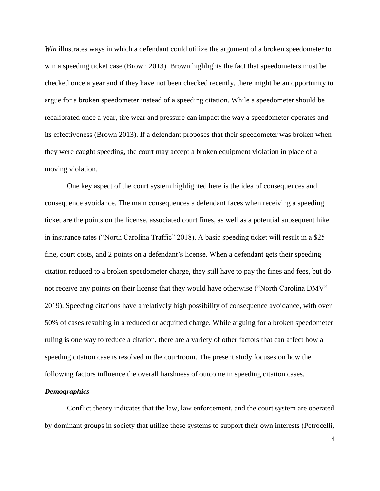*Win* illustrates ways in which a defendant could utilize the argument of a broken speedometer to win a speeding ticket case (Brown 2013). Brown highlights the fact that speedometers must be checked once a year and if they have not been checked recently, there might be an opportunity to argue for a broken speedometer instead of a speeding citation. While a speedometer should be recalibrated once a year, tire wear and pressure can impact the way a speedometer operates and its effectiveness (Brown 2013). If a defendant proposes that their speedometer was broken when they were caught speeding, the court may accept a broken equipment violation in place of a moving violation.

One key aspect of the court system highlighted here is the idea of consequences and consequence avoidance. The main consequences a defendant faces when receiving a speeding ticket are the points on the license, associated court fines, as well as a potential subsequent hike in insurance rates ("North Carolina Traffic" 2018). A basic speeding ticket will result in a \$25 fine, court costs, and 2 points on a defendant's license. When a defendant gets their speeding citation reduced to a broken speedometer charge, they still have to pay the fines and fees, but do not receive any points on their license that they would have otherwise ("North Carolina DMV" 2019). Speeding citations have a relatively high possibility of consequence avoidance, with over 50% of cases resulting in a reduced or acquitted charge. While arguing for a broken speedometer ruling is one way to reduce a citation, there are a variety of other factors that can affect how a speeding citation case is resolved in the courtroom. The present study focuses on how the following factors influence the overall harshness of outcome in speeding citation cases.

#### *Demographics*

Conflict theory indicates that the law, law enforcement, and the court system are operated by dominant groups in society that utilize these systems to support their own interests (Petrocelli,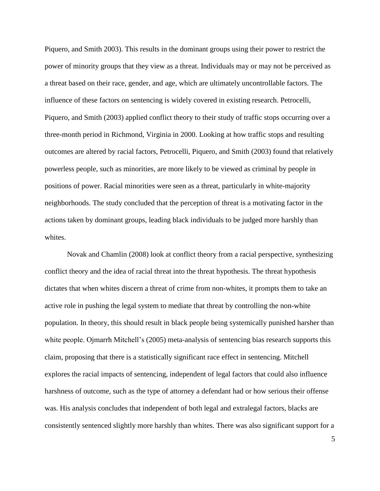Piquero, and Smith 2003). This results in the dominant groups using their power to restrict the power of minority groups that they view as a threat. Individuals may or may not be perceived as a threat based on their race, gender, and age, which are ultimately uncontrollable factors. The influence of these factors on sentencing is widely covered in existing research. Petrocelli, Piquero, and Smith (2003) applied conflict theory to their study of traffic stops occurring over a three-month period in Richmond, Virginia in 2000. Looking at how traffic stops and resulting outcomes are altered by racial factors, Petrocelli, Piquero, and Smith (2003) found that relatively powerless people, such as minorities, are more likely to be viewed as criminal by people in positions of power. Racial minorities were seen as a threat, particularly in white-majority neighborhoods. The study concluded that the perception of threat is a motivating factor in the actions taken by dominant groups, leading black individuals to be judged more harshly than whites.

Novak and Chamlin (2008) look at conflict theory from a racial perspective, synthesizing conflict theory and the idea of racial threat into the threat hypothesis. The threat hypothesis dictates that when whites discern a threat of crime from non-whites, it prompts them to take an active role in pushing the legal system to mediate that threat by controlling the non-white population. In theory, this should result in black people being systemically punished harsher than white people. Ojmarrh Mitchell's (2005) meta-analysis of sentencing bias research supports this claim, proposing that there is a statistically significant race effect in sentencing. Mitchell explores the racial impacts of sentencing, independent of legal factors that could also influence harshness of outcome, such as the type of attorney a defendant had or how serious their offense was. His analysis concludes that independent of both legal and extralegal factors, blacks are consistently sentenced slightly more harshly than whites. There was also significant support for a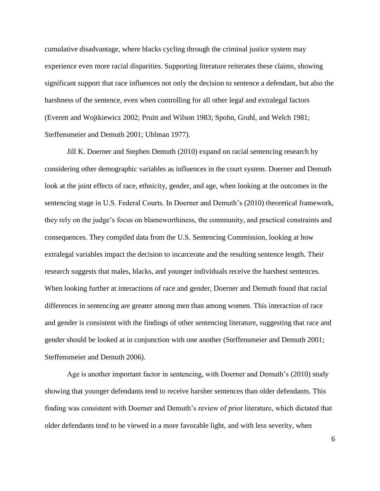cumulative disadvantage, where blacks cycling through the criminal justice system may experience even more racial disparities. Supporting literature reiterates these claims, showing significant support that race influences not only the decision to sentence a defendant, but also the harshness of the sentence, even when controlling for all other legal and extralegal factors (Everett and Wojtkiewicz 2002; Pruitt and Wilson 1983; Spohn, Gruhl, and Welch 1981; Steffensmeier and Demuth 2001; Uhlman 1977).

Jill K. Doerner and Stephen Demuth (2010) expand on racial sentencing research by considering other demographic variables as influences in the court system. Doerner and Demuth look at the joint effects of race, ethnicity, gender, and age, when looking at the outcomes in the sentencing stage in U.S. Federal Courts. In Doerner and Demuth's (2010) theoretical framework, they rely on the judge's focus on blameworthiness, the community, and practical constraints and consequences. They compiled data from the U.S. Sentencing Commission, looking at how extralegal variables impact the decision to incarcerate and the resulting sentence length. Their research suggests that males, blacks, and younger individuals receive the harshest sentences. When looking further at interactions of race and gender, Doerner and Demuth found that racial differences in sentencing are greater among men than among women. This interaction of race and gender is consistent with the findings of other sentencing literature, suggesting that race and gender should be looked at in conjunction with one another (Steffensmeier and Demuth 2001; Steffensmeier and Demuth 2006).

Age is another important factor in sentencing, with Doerner and Demuth's (2010) study showing that younger defendants tend to receive harsher sentences than older defendants. This finding was consistent with Doerner and Demuth's review of prior literature, which dictated that older defendants tend to be viewed in a more favorable light, and with less severity, when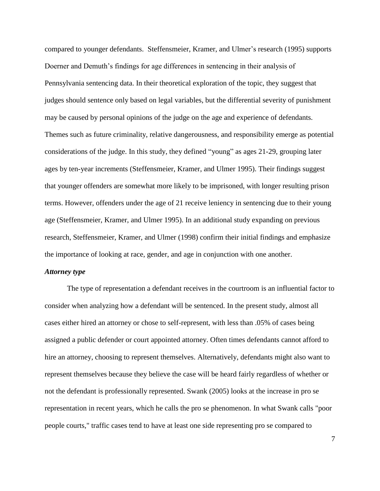compared to younger defendants. Steffensmeier, Kramer, and Ulmer's research (1995) supports Doerner and Demuth's findings for age differences in sentencing in their analysis of Pennsylvania sentencing data. In their theoretical exploration of the topic, they suggest that judges should sentence only based on legal variables, but the differential severity of punishment may be caused by personal opinions of the judge on the age and experience of defendants. Themes such as future criminality, relative dangerousness, and responsibility emerge as potential considerations of the judge. In this study, they defined "young" as ages 21-29, grouping later ages by ten-year increments (Steffensmeier, Kramer, and Ulmer 1995). Their findings suggest that younger offenders are somewhat more likely to be imprisoned, with longer resulting prison terms. However, offenders under the age of 21 receive leniency in sentencing due to their young age (Steffensmeier, Kramer, and Ulmer 1995). In an additional study expanding on previous research, Steffensmeier, Kramer, and Ulmer (1998) confirm their initial findings and emphasize the importance of looking at race, gender, and age in conjunction with one another.

#### *Attorney type*

The type of representation a defendant receives in the courtroom is an influential factor to consider when analyzing how a defendant will be sentenced. In the present study, almost all cases either hired an attorney or chose to self-represent, with less than .05% of cases being assigned a public defender or court appointed attorney. Often times defendants cannot afford to hire an attorney, choosing to represent themselves. Alternatively, defendants might also want to represent themselves because they believe the case will be heard fairly regardless of whether or not the defendant is professionally represented. Swank (2005) looks at the increase in pro se representation in recent years, which he calls the pro se phenomenon. In what Swank calls "poor people courts," traffic cases tend to have at least one side representing pro se compared to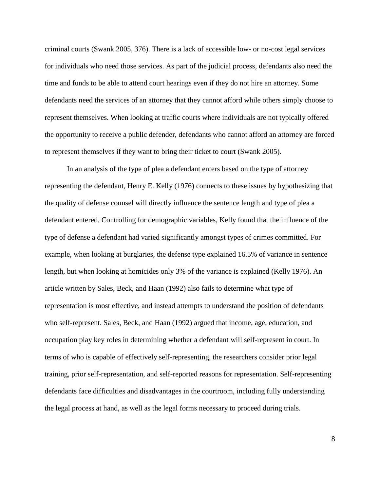criminal courts (Swank 2005, 376). There is a lack of accessible low- or no-cost legal services for individuals who need those services. As part of the judicial process, defendants also need the time and funds to be able to attend court hearings even if they do not hire an attorney. Some defendants need the services of an attorney that they cannot afford while others simply choose to represent themselves. When looking at traffic courts where individuals are not typically offered the opportunity to receive a public defender, defendants who cannot afford an attorney are forced to represent themselves if they want to bring their ticket to court (Swank 2005).

In an analysis of the type of plea a defendant enters based on the type of attorney representing the defendant, Henry E. Kelly (1976) connects to these issues by hypothesizing that the quality of defense counsel will directly influence the sentence length and type of plea a defendant entered. Controlling for demographic variables, Kelly found that the influence of the type of defense a defendant had varied significantly amongst types of crimes committed. For example, when looking at burglaries, the defense type explained 16.5% of variance in sentence length, but when looking at homicides only 3% of the variance is explained (Kelly 1976). An article written by Sales, Beck, and Haan (1992) also fails to determine what type of representation is most effective, and instead attempts to understand the position of defendants who self-represent. Sales, Beck, and Haan (1992) argued that income, age, education, and occupation play key roles in determining whether a defendant will self-represent in court. In terms of who is capable of effectively self-representing, the researchers consider prior legal training, prior self-representation, and self-reported reasons for representation. Self-representing defendants face difficulties and disadvantages in the courtroom, including fully understanding the legal process at hand, as well as the legal forms necessary to proceed during trials.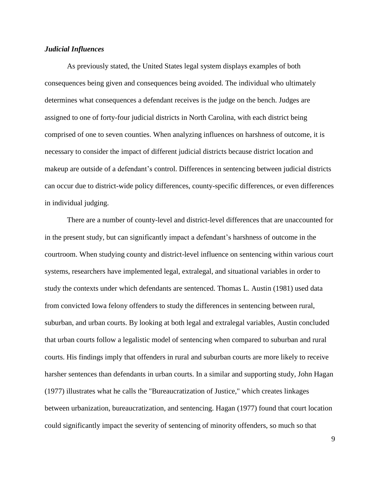## *Judicial Influences*

As previously stated, the United States legal system displays examples of both consequences being given and consequences being avoided. The individual who ultimately determines what consequences a defendant receives is the judge on the bench. Judges are assigned to one of forty-four judicial districts in North Carolina, with each district being comprised of one to seven counties. When analyzing influences on harshness of outcome, it is necessary to consider the impact of different judicial districts because district location and makeup are outside of a defendant's control. Differences in sentencing between judicial districts can occur due to district-wide policy differences, county-specific differences, or even differences in individual judging.

There are a number of county-level and district-level differences that are unaccounted for in the present study, but can significantly impact a defendant's harshness of outcome in the courtroom. When studying county and district-level influence on sentencing within various court systems, researchers have implemented legal, extralegal, and situational variables in order to study the contexts under which defendants are sentenced. Thomas L. Austin (1981) used data from convicted Iowa felony offenders to study the differences in sentencing between rural, suburban, and urban courts. By looking at both legal and extralegal variables, Austin concluded that urban courts follow a legalistic model of sentencing when compared to suburban and rural courts. His findings imply that offenders in rural and suburban courts are more likely to receive harsher sentences than defendants in urban courts. In a similar and supporting study, John Hagan (1977) illustrates what he calls the "Bureaucratization of Justice," which creates linkages between urbanization, bureaucratization, and sentencing. Hagan (1977) found that court location could significantly impact the severity of sentencing of minority offenders, so much so that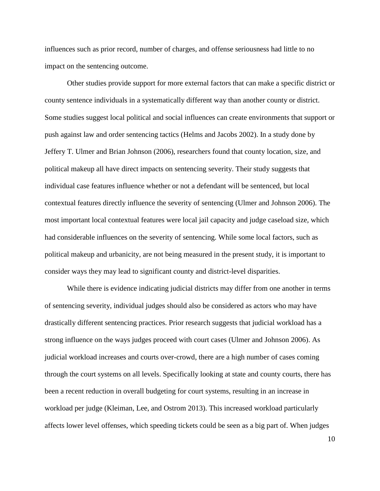influences such as prior record, number of charges, and offense seriousness had little to no impact on the sentencing outcome.

Other studies provide support for more external factors that can make a specific district or county sentence individuals in a systematically different way than another county or district. Some studies suggest local political and social influences can create environments that support or push against law and order sentencing tactics (Helms and Jacobs 2002). In a study done by Jeffery T. Ulmer and Brian Johnson (2006), researchers found that county location, size, and political makeup all have direct impacts on sentencing severity. Their study suggests that individual case features influence whether or not a defendant will be sentenced, but local contextual features directly influence the severity of sentencing (Ulmer and Johnson 2006). The most important local contextual features were local jail capacity and judge caseload size, which had considerable influences on the severity of sentencing. While some local factors, such as political makeup and urbanicity, are not being measured in the present study, it is important to consider ways they may lead to significant county and district-level disparities.

While there is evidence indicating judicial districts may differ from one another in terms of sentencing severity, individual judges should also be considered as actors who may have drastically different sentencing practices. Prior research suggests that judicial workload has a strong influence on the ways judges proceed with court cases (Ulmer and Johnson 2006). As judicial workload increases and courts over-crowd, there are a high number of cases coming through the court systems on all levels. Specifically looking at state and county courts, there has been a recent reduction in overall budgeting for court systems, resulting in an increase in workload per judge (Kleiman, Lee, and Ostrom 2013). This increased workload particularly affects lower level offenses, which speeding tickets could be seen as a big part of. When judges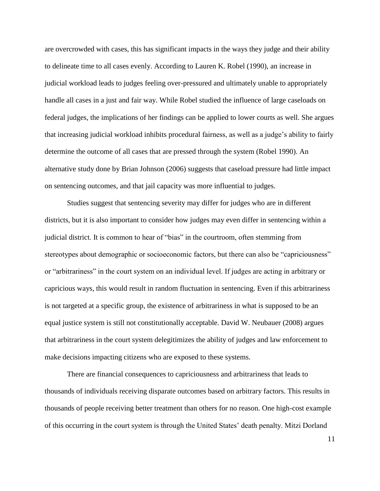are overcrowded with cases, this has significant impacts in the ways they judge and their ability to delineate time to all cases evenly. According to Lauren K. Robel (1990), an increase in judicial workload leads to judges feeling over-pressured and ultimately unable to appropriately handle all cases in a just and fair way. While Robel studied the influence of large caseloads on federal judges, the implications of her findings can be applied to lower courts as well. She argues that increasing judicial workload inhibits procedural fairness, as well as a judge's ability to fairly determine the outcome of all cases that are pressed through the system (Robel 1990). An alternative study done by Brian Johnson (2006) suggests that caseload pressure had little impact on sentencing outcomes, and that jail capacity was more influential to judges.

Studies suggest that sentencing severity may differ for judges who are in different districts, but it is also important to consider how judges may even differ in sentencing within a judicial district. It is common to hear of "bias" in the courtroom, often stemming from stereotypes about demographic or socioeconomic factors, but there can also be "capriciousness" or "arbitrariness" in the court system on an individual level. If judges are acting in arbitrary or capricious ways, this would result in random fluctuation in sentencing. Even if this arbitrariness is not targeted at a specific group, the existence of arbitrariness in what is supposed to be an equal justice system is still not constitutionally acceptable. David W. Neubauer (2008) argues that arbitrariness in the court system delegitimizes the ability of judges and law enforcement to make decisions impacting citizens who are exposed to these systems.

There are financial consequences to capriciousness and arbitrariness that leads to thousands of individuals receiving disparate outcomes based on arbitrary factors. This results in thousands of people receiving better treatment than others for no reason. One high-cost example of this occurring in the court system is through the United States' death penalty. Mitzi Dorland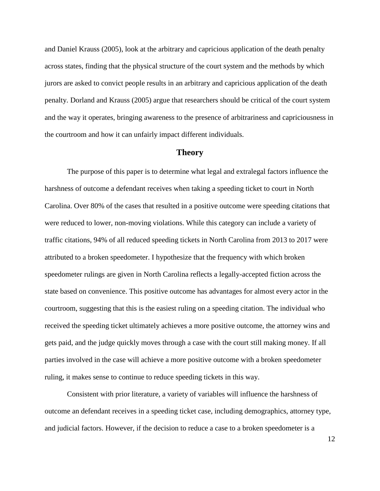and Daniel Krauss (2005), look at the arbitrary and capricious application of the death penalty across states, finding that the physical structure of the court system and the methods by which jurors are asked to convict people results in an arbitrary and capricious application of the death penalty. Dorland and Krauss (2005) argue that researchers should be critical of the court system and the way it operates, bringing awareness to the presence of arbitrariness and capriciousness in the courtroom and how it can unfairly impact different individuals.

## **Theory**

The purpose of this paper is to determine what legal and extralegal factors influence the harshness of outcome a defendant receives when taking a speeding ticket to court in North Carolina. Over 80% of the cases that resulted in a positive outcome were speeding citations that were reduced to lower, non-moving violations. While this category can include a variety of traffic citations, 94% of all reduced speeding tickets in North Carolina from 2013 to 2017 were attributed to a broken speedometer. I hypothesize that the frequency with which broken speedometer rulings are given in North Carolina reflects a legally-accepted fiction across the state based on convenience. This positive outcome has advantages for almost every actor in the courtroom, suggesting that this is the easiest ruling on a speeding citation. The individual who received the speeding ticket ultimately achieves a more positive outcome, the attorney wins and gets paid, and the judge quickly moves through a case with the court still making money. If all parties involved in the case will achieve a more positive outcome with a broken speedometer ruling, it makes sense to continue to reduce speeding tickets in this way.

Consistent with prior literature, a variety of variables will influence the harshness of outcome an defendant receives in a speeding ticket case, including demographics, attorney type, and judicial factors. However, if the decision to reduce a case to a broken speedometer is a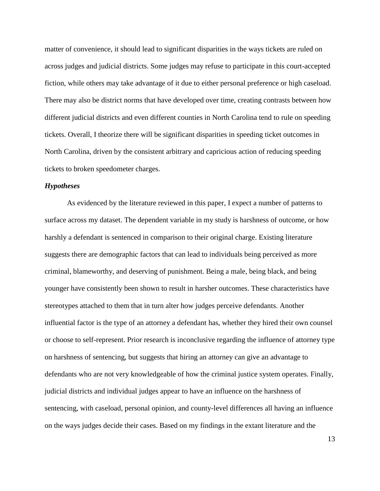matter of convenience, it should lead to significant disparities in the ways tickets are ruled on across judges and judicial districts. Some judges may refuse to participate in this court-accepted fiction, while others may take advantage of it due to either personal preference or high caseload. There may also be district norms that have developed over time, creating contrasts between how different judicial districts and even different counties in North Carolina tend to rule on speeding tickets. Overall, I theorize there will be significant disparities in speeding ticket outcomes in North Carolina, driven by the consistent arbitrary and capricious action of reducing speeding tickets to broken speedometer charges.

#### *Hypotheses*

As evidenced by the literature reviewed in this paper, I expect a number of patterns to surface across my dataset. The dependent variable in my study is harshness of outcome, or how harshly a defendant is sentenced in comparison to their original charge. Existing literature suggests there are demographic factors that can lead to individuals being perceived as more criminal, blameworthy, and deserving of punishment. Being a male, being black, and being younger have consistently been shown to result in harsher outcomes. These characteristics have stereotypes attached to them that in turn alter how judges perceive defendants. Another influential factor is the type of an attorney a defendant has, whether they hired their own counsel or choose to self-represent. Prior research is inconclusive regarding the influence of attorney type on harshness of sentencing, but suggests that hiring an attorney can give an advantage to defendants who are not very knowledgeable of how the criminal justice system operates. Finally, judicial districts and individual judges appear to have an influence on the harshness of sentencing, with caseload, personal opinion, and county-level differences all having an influence on the ways judges decide their cases. Based on my findings in the extant literature and the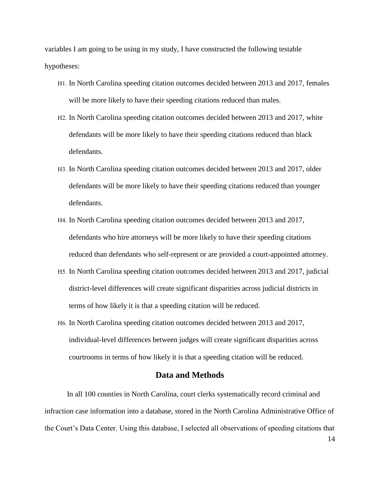variables I am going to be using in my study, I have constructed the following testable hypotheses:

- H1. In North Carolina speeding citation outcomes decided between 2013 and 2017, females will be more likely to have their speeding citations reduced than males.
- H2. In North Carolina speeding citation outcomes decided between 2013 and 2017, white defendants will be more likely to have their speeding citations reduced than black defendants.
- H3. In North Carolina speeding citation outcomes decided between 2013 and 2017, older defendants will be more likely to have their speeding citations reduced than younger defendants.
- H4. In North Carolina speeding citation outcomes decided between 2013 and 2017, defendants who hire attorneys will be more likely to have their speeding citations reduced than defendants who self-represent or are provided a court-appointed attorney.
- H5. In North Carolina speeding citation outcomes decided between 2013 and 2017, judicial district-level differences will create significant disparities across judicial districts in terms of how likely it is that a speeding citation will be reduced.
- H6. In North Carolina speeding citation outcomes decided between 2013 and 2017, individual-level differences between judges will create significant disparities across courtrooms in terms of how likely it is that a speeding citation will be reduced.

# **Data and Methods**

In all 100 counties in North Carolina, court clerks systematically record criminal and infraction case information into a database, stored in the North Carolina Administrative Office of the Court's Data Center. Using this database, I selected all observations of speeding citations that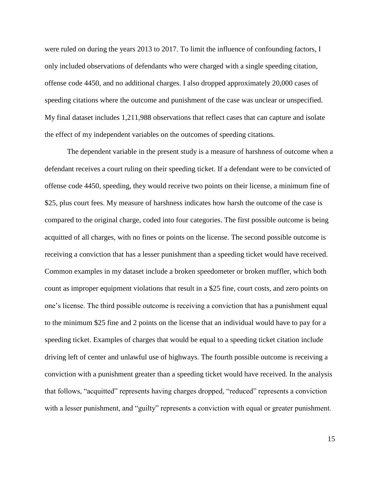were ruled on during the years 2013 to 2017. To limit the influence of confounding factors, I only included observations of defendants who were charged with a single speeding citation, offense code 4450, and no additional charges. I also dropped approximately 20,000 cases of speeding citations where the outcome and punishment of the case was unclear or unspecified. My final dataset includes 1,211,988 observations that reflect cases that can capture and isolate the effect of my independent variables on the outcomes of speeding citations.

The dependent variable in the present study is a measure of harshness of outcome when a defendant receives a court ruling on their speeding ticket. If a defendant were to be convicted of offense code 4450, speeding, they would receive two points on their license, a minimum fine of \$25, plus court fees. My measure of harshness indicates how harsh the outcome of the case is compared to the original charge, coded into four categories. The first possible outcome is being acquitted of all charges, with no fines or points on the license. The second possible outcome is receiving a conviction that has a lesser punishment than a speeding ticket would have received. Common examples in my dataset include a broken speedometer or broken muffler, which both count as improper equipment violations that result in a \$25 fine, court costs, and zero points on one's license. The third possible outcome is receiving a conviction that has a punishment equal to the minimum \$25 fine and 2 points on the license that an individual would have to pay for a speeding ticket. Examples of charges that would be equal to a speeding ticket citation include driving left of center and unlawful use of highways. The fourth possible outcome is receiving a conviction with a punishment greater than a speeding ticket would have received. In the analysis that follows, "acquitted" represents having charges dropped, "reduced" represents a conviction with a lesser punishment, and "guilty" represents a conviction with equal or greater punishment.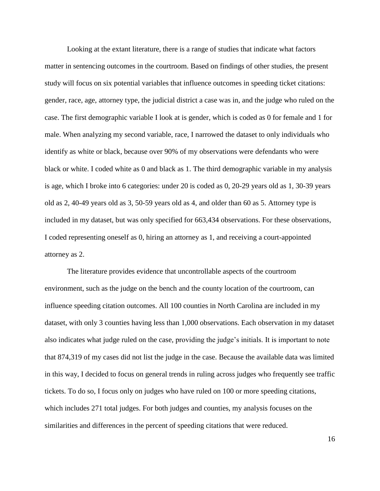Looking at the extant literature, there is a range of studies that indicate what factors matter in sentencing outcomes in the courtroom. Based on findings of other studies, the present study will focus on six potential variables that influence outcomes in speeding ticket citations: gender, race, age, attorney type, the judicial district a case was in, and the judge who ruled on the case. The first demographic variable I look at is gender, which is coded as 0 for female and 1 for male. When analyzing my second variable, race, I narrowed the dataset to only individuals who identify as white or black, because over 90% of my observations were defendants who were black or white. I coded white as 0 and black as 1. The third demographic variable in my analysis is age, which I broke into 6 categories: under 20 is coded as 0, 20-29 years old as 1, 30-39 years old as 2, 40-49 years old as 3, 50-59 years old as 4, and older than 60 as 5. Attorney type is included in my dataset, but was only specified for 663,434 observations. For these observations, I coded representing oneself as 0, hiring an attorney as 1, and receiving a court-appointed attorney as 2.

The literature provides evidence that uncontrollable aspects of the courtroom environment, such as the judge on the bench and the county location of the courtroom, can influence speeding citation outcomes. All 100 counties in North Carolina are included in my dataset, with only 3 counties having less than 1,000 observations. Each observation in my dataset also indicates what judge ruled on the case, providing the judge's initials. It is important to note that 874,319 of my cases did not list the judge in the case. Because the available data was limited in this way, I decided to focus on general trends in ruling across judges who frequently see traffic tickets. To do so, I focus only on judges who have ruled on 100 or more speeding citations, which includes 271 total judges. For both judges and counties, my analysis focuses on the similarities and differences in the percent of speeding citations that were reduced.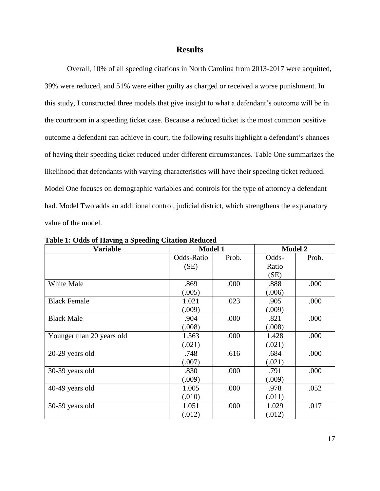# **Results**

Overall, 10% of all speeding citations in North Carolina from 2013-2017 were acquitted, 39% were reduced, and 51% were either guilty as charged or received a worse punishment. In this study, I constructed three models that give insight to what a defendant's outcome will be in the courtroom in a speeding ticket case. Because a reduced ticket is the most common positive outcome a defendant can achieve in court, the following results highlight a defendant's chances of having their speeding ticket reduced under different circumstances. Table One summarizes the likelihood that defendants with varying characteristics will have their speeding ticket reduced. Model One focuses on demographic variables and controls for the type of attorney a defendant had. Model Two adds an additional control, judicial district, which strengthens the explanatory value of the model.

| <b>Variable</b>           | <b>Model 1</b> |       | <b>Model 2</b> |       |
|---------------------------|----------------|-------|----------------|-------|
|                           | Odds-Ratio     | Prob. | Odds-          | Prob. |
|                           | (SE)           |       | Ratio          |       |
|                           |                |       | (SE)           |       |
| White Male                | .869           | .000  | .888           | .000  |
|                           | (.005)         |       | (.006)         |       |
| <b>Black Female</b>       | 1.021          | .023  | .905           | .000  |
|                           | (.009)         |       | (.009)         |       |
| <b>Black Male</b>         | .904           | .000  | .821           | .000  |
|                           | (.008)         |       | (.008)         |       |
| Younger than 20 years old | 1.563          | .000  | 1.428          | .000  |
|                           | (.021)         |       | (.021)         |       |
| 20-29 years old           | .748           | .616  | .684           | .000  |
|                           | (.007)         |       | (.021)         |       |
| 30-39 years old           | .830           | .000  | .791           | .000  |
|                           | (.009)         |       | (.009)         |       |
| 40-49 years old           | 1.005          | .000  | .978           | .052  |
|                           | (.010)         |       | (.011)         |       |
| 50-59 years old           | 1.051          | .000  | 1.029          | .017  |
|                           | (.012)         |       | (.012)         |       |

**Table 1: Odds of Having a Speeding Citation Reduced**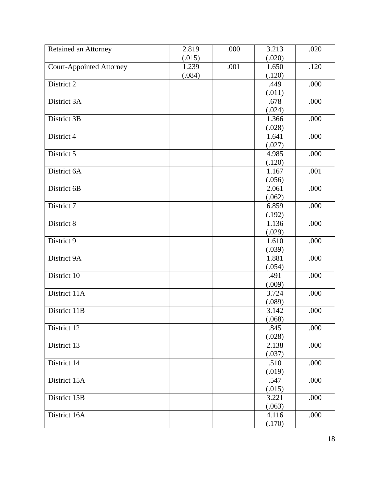| Retained an Attorney            | 2.819  | .000 | 3.213  | .020 |
|---------------------------------|--------|------|--------|------|
|                                 | (.015) |      | (.020) |      |
| <b>Court-Appointed Attorney</b> | 1.239  | .001 | 1.650  | .120 |
|                                 | (.084) |      | (.120) |      |
| District 2                      |        |      | .449   | .000 |
|                                 |        |      | (.011) |      |
| District 3A                     |        |      | .678   | .000 |
|                                 |        |      | (.024) |      |
| District 3B                     |        |      | 1.366  | .000 |
|                                 |        |      | (.028) |      |
| District 4                      |        |      | 1.641  | .000 |
|                                 |        |      | (.027) |      |
| District 5                      |        |      | 4.985  | .000 |
|                                 |        |      | (.120) |      |
| District 6A                     |        |      | 1.167  | .001 |
|                                 |        |      | (.056) |      |
| District 6B                     |        |      | 2.061  | .000 |
|                                 |        |      | (.062) |      |
| District 7                      |        |      | 6.859  | .000 |
|                                 |        |      | (.192) |      |
| District 8                      |        |      | 1.136  | .000 |
|                                 |        |      | (.029) |      |
| District 9                      |        |      | 1.610  | .000 |
|                                 |        |      | (.039) |      |
| District 9A                     |        |      | 1.881  | .000 |
|                                 |        |      | (.054) |      |
| District 10                     |        |      | .491   | .000 |
|                                 |        |      | (.009) |      |
| District 11A                    |        |      | 3.724  | .000 |
|                                 |        |      | (.089) |      |
| District 11B                    |        |      | 3.142  | .000 |
|                                 |        |      | (.068) |      |
| District 12                     |        |      | .845   | .000 |
|                                 |        |      | (.028) |      |
| District 13                     |        |      | 2.138  | .000 |
|                                 |        |      | (.037) |      |
| District 14                     |        |      | .510   | .000 |
|                                 |        |      | (.019) |      |
| District 15A                    |        |      | .547   | .000 |
|                                 |        |      | (.015) |      |
| District 15B                    |        |      | 3.221  | .000 |
|                                 |        |      | (.063) |      |
| District 16A                    |        |      | 4.116  | .000 |
|                                 |        |      | (.170) |      |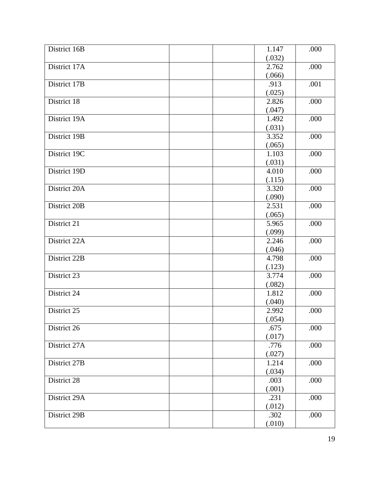| District 16B | 1.147           | .000 |
|--------------|-----------------|------|
|              | (.032)          |      |
| District 17A | 2.762           | .000 |
|              | (.066)          |      |
| District 17B | .913            | .001 |
|              | (.025)          |      |
| District 18  | 2.826           | .000 |
|              | (.047)          |      |
| District 19A | 1.492           | .000 |
|              | (.031)          |      |
| District 19B | 3.352           | .000 |
|              | (.065)          |      |
| District 19C | 1.103           | .000 |
|              | (.031)          |      |
| District 19D | 4.010           | .000 |
|              | (.115)          |      |
| District 20A | 3.320           | .000 |
|              |                 |      |
| District 20B | (.090)<br>2.531 | .000 |
|              |                 |      |
|              | (.065)          |      |
| District 21  | 5.965           | .000 |
|              | (.099)          |      |
| District 22A | 2.246           | .000 |
|              | (.046)          |      |
| District 22B | 4.798           | .000 |
|              | (.123)          |      |
| District 23  | 3.774           | .000 |
|              | (.082)          |      |
| District 24  | 1.812           | .000 |
|              | (.040)          |      |
| District 25  | 2.992           | .000 |
|              | (.054)          |      |
| District 26  | .675            | .000 |
|              | (.017)          |      |
| District 27A | .776            | .000 |
|              | (.027)          |      |
| District 27B | 1.214           | .000 |
|              | (.034)          |      |
| District 28  | .003            | .000 |
|              | (.001)          |      |
| District 29A | .231            | .000 |
|              | (.012)          |      |
| District 29B | .302            | .000 |
|              | (.010)          |      |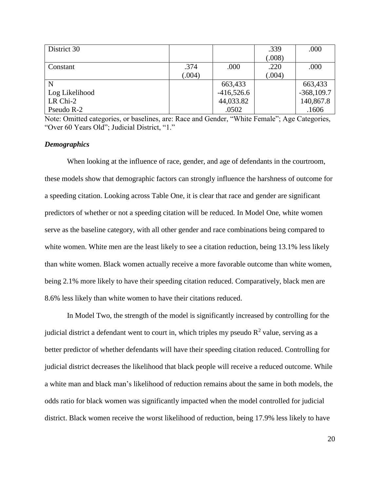| District 30    |        |              | .339   | .000         |
|----------------|--------|--------------|--------|--------------|
|                |        |              | (.008) |              |
| Constant       | .374   | .000         | .220   | .000         |
|                | (.004) |              | (.004) |              |
| N              |        | 663,433      |        | 663,433      |
| Log Likelihood |        | $-416,526.6$ |        | $-368,109.7$ |
| LR Chi-2       |        | 44,033.82    |        | 140,867.8    |
| Pseudo R-2     |        | .0502        |        | .1606        |

Note: Omitted categories, or baselines, are: Race and Gender, "White Female"; Age Categories, "Over 60 Years Old"; Judicial District, "1."

#### *Demographics*

When looking at the influence of race, gender, and age of defendants in the courtroom, these models show that demographic factors can strongly influence the harshness of outcome for a speeding citation. Looking across Table One, it is clear that race and gender are significant predictors of whether or not a speeding citation will be reduced. In Model One, white women serve as the baseline category, with all other gender and race combinations being compared to white women. White men are the least likely to see a citation reduction, being 13.1% less likely than white women. Black women actually receive a more favorable outcome than white women, being 2.1% more likely to have their speeding citation reduced. Comparatively, black men are 8.6% less likely than white women to have their citations reduced.

In Model Two, the strength of the model is significantly increased by controlling for the judicial district a defendant went to court in, which triples my pseudo  $R^2$  value, serving as a better predictor of whether defendants will have their speeding citation reduced. Controlling for judicial district decreases the likelihood that black people will receive a reduced outcome. While a white man and black man's likelihood of reduction remains about the same in both models, the odds ratio for black women was significantly impacted when the model controlled for judicial district. Black women receive the worst likelihood of reduction, being 17.9% less likely to have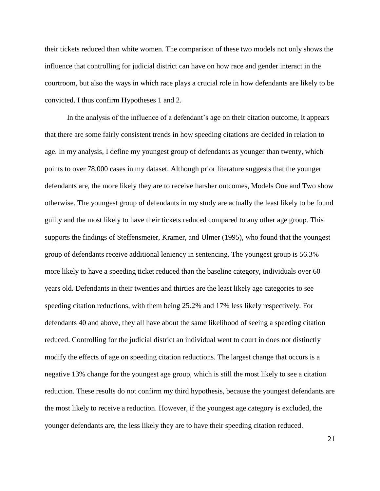their tickets reduced than white women. The comparison of these two models not only shows the influence that controlling for judicial district can have on how race and gender interact in the courtroom, but also the ways in which race plays a crucial role in how defendants are likely to be convicted. I thus confirm Hypotheses 1 and 2.

In the analysis of the influence of a defendant's age on their citation outcome, it appears that there are some fairly consistent trends in how speeding citations are decided in relation to age. In my analysis, I define my youngest group of defendants as younger than twenty, which points to over 78,000 cases in my dataset. Although prior literature suggests that the younger defendants are, the more likely they are to receive harsher outcomes, Models One and Two show otherwise. The youngest group of defendants in my study are actually the least likely to be found guilty and the most likely to have their tickets reduced compared to any other age group. This supports the findings of Steffensmeier, Kramer, and Ulmer (1995), who found that the youngest group of defendants receive additional leniency in sentencing. The youngest group is 56.3% more likely to have a speeding ticket reduced than the baseline category, individuals over 60 years old. Defendants in their twenties and thirties are the least likely age categories to see speeding citation reductions, with them being 25.2% and 17% less likely respectively. For defendants 40 and above, they all have about the same likelihood of seeing a speeding citation reduced. Controlling for the judicial district an individual went to court in does not distinctly modify the effects of age on speeding citation reductions. The largest change that occurs is a negative 13% change for the youngest age group, which is still the most likely to see a citation reduction. These results do not confirm my third hypothesis, because the youngest defendants are the most likely to receive a reduction. However, if the youngest age category is excluded, the younger defendants are, the less likely they are to have their speeding citation reduced.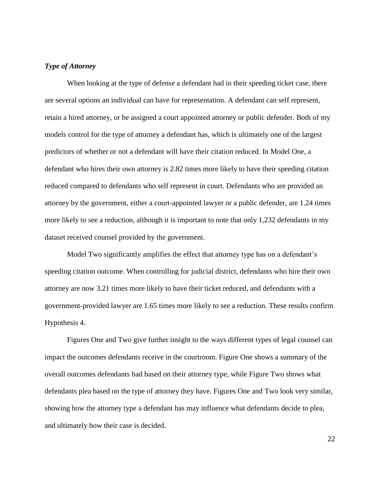## *Type of Attorney*

When looking at the type of defense a defendant had in their speeding ticket case, there are several options an individual can have for representation. A defendant can self represent, retain a hired attorney, or be assigned a court appointed attorney or public defender. Both of my models control for the type of attorney a defendant has, which is ultimately one of the largest predictors of whether or not a defendant will have their citation reduced. In Model One, a defendant who hires their own attorney is 2.82 times more likely to have their speeding citation reduced compared to defendants who self represent in court. Defendants who are provided an attorney by the government, either a court-appointed lawyer or a public defender, are 1.24 times more likely to see a reduction, although it is important to note that only 1,232 defendants in my dataset received counsel provided by the government.

Model Two significantly amplifies the effect that attorney type has on a defendant's speeding citation outcome. When controlling for judicial district, defendants who hire their own attorney are now 3.21 times more likely to have their ticket reduced, and defendants with a government-provided lawyer are 1.65 times more likely to see a reduction. These results confirm Hypothesis 4.

Figures One and Two give further insight to the ways different types of legal counsel can impact the outcomes defendants receive in the courtroom. Figure One shows a summary of the overall outcomes defendants had based on their attorney type, while Figure Two shows what defendants plea based on the type of attorney they have. Figures One and Two look very similar, showing how the attorney type a defendant has may influence what defendants decide to plea, and ultimately how their case is decided.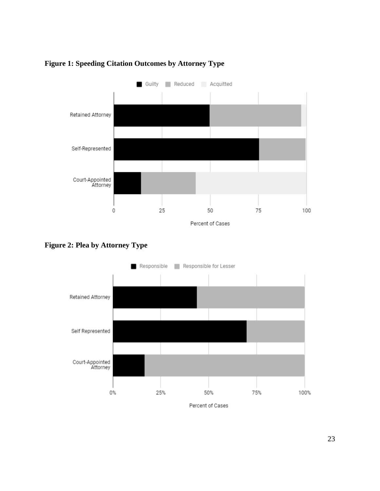

# **Figure 1: Speeding Citation Outcomes by Attorney Type**

**Figure 2: Plea by Attorney Type**

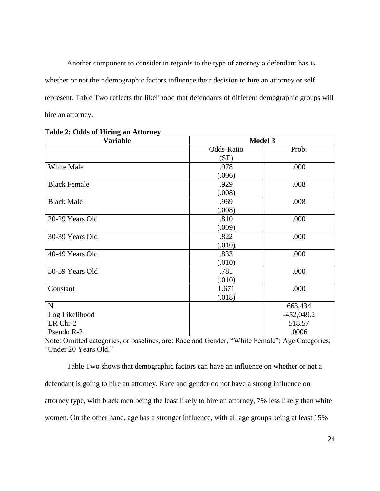Another component to consider in regards to the type of attorney a defendant has is whether or not their demographic factors influence their decision to hire an attorney or self represent. Table Two reflects the likelihood that defendants of different demographic groups will hire an attorney.

| <b>Variable</b>     | <b>Model 3</b> |              |
|---------------------|----------------|--------------|
|                     | Odds-Ratio     | Prob.        |
|                     | (SE)           |              |
| White Male          | .978           | .000         |
|                     | (.006)         |              |
| <b>Black Female</b> | .929           | .008         |
|                     | (.008)         |              |
| <b>Black Male</b>   | .969           | .008         |
|                     | (.008)         |              |
| 20-29 Years Old     | .810           | .000         |
|                     | (.009)         |              |
| 30-39 Years Old     | .822           | .000         |
|                     | (.010)         |              |
| 40-49 Years Old     | .833           | .000         |
|                     | (.010)         |              |
| 50-59 Years Old     | .781           | .000         |
|                     | (.010)         |              |
| Constant            | 1.671          | .000         |
|                     | (.018)         |              |
| $\mathbf N$         |                | 663,434      |
| Log Likelihood      |                | $-452,049.2$ |
| LR Chi-2            |                | 518.57       |
| Pseudo R-2          |                | .0006        |

| <b>Table 2: Odds of Hiring an Attorney</b> |
|--------------------------------------------|
|--------------------------------------------|

Note: Omitted categories, or baselines, are: Race and Gender, "White Female"; Age Categories, "Under 20 Years Old."

Table Two shows that demographic factors can have an influence on whether or not a defendant is going to hire an attorney. Race and gender do not have a strong influence on attorney type, with black men being the least likely to hire an attorney, 7% less likely than white women. On the other hand, age has a stronger influence, with all age groups being at least 15%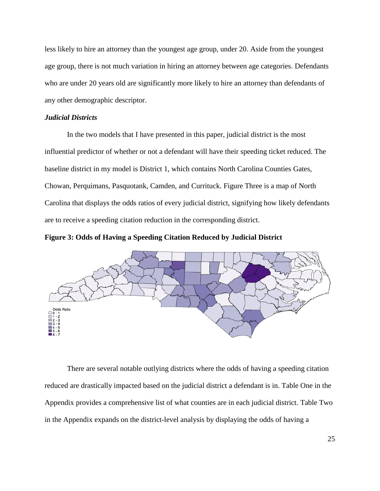less likely to hire an attorney than the youngest age group, under 20. Aside from the youngest age group, there is not much variation in hiring an attorney between age categories. Defendants who are under 20 years old are significantly more likely to hire an attorney than defendants of any other demographic descriptor.

# *Judicial Districts*

In the two models that I have presented in this paper, judicial district is the most influential predictor of whether or not a defendant will have their speeding ticket reduced. The baseline district in my model is District 1, which contains North Carolina Counties Gates, Chowan, Perquimans, Pasquotank, Camden, and Currituck. Figure Three is a map of North Carolina that displays the odds ratios of every judicial district, signifying how likely defendants are to receive a speeding citation reduction in the corresponding district.

**Figure 3: Odds of Having a Speeding Citation Reduced by Judicial District**



There are several notable outlying districts where the odds of having a speeding citation reduced are drastically impacted based on the judicial district a defendant is in. Table One in the Appendix provides a comprehensive list of what counties are in each judicial district. Table Two in the Appendix expands on the district-level analysis by displaying the odds of having a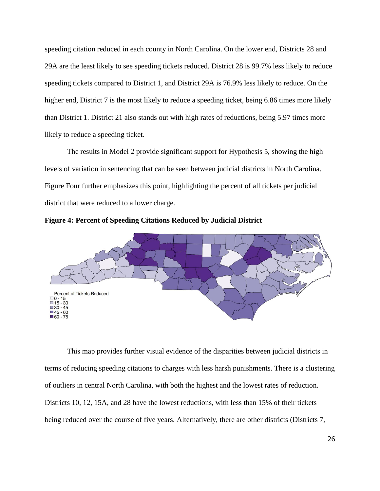speeding citation reduced in each county in North Carolina. On the lower end, Districts 28 and 29A are the least likely to see speeding tickets reduced. District 28 is 99.7% less likely to reduce speeding tickets compared to District 1, and District 29A is 76.9% less likely to reduce. On the higher end, District 7 is the most likely to reduce a speeding ticket, being 6.86 times more likely than District 1. District 21 also stands out with high rates of reductions, being 5.97 times more likely to reduce a speeding ticket.

The results in Model 2 provide significant support for Hypothesis 5, showing the high levels of variation in sentencing that can be seen between judicial districts in North Carolina. Figure Four further emphasizes this point, highlighting the percent of all tickets per judicial district that were reduced to a lower charge.



**Figure 4: Percent of Speeding Citations Reduced by Judicial District**

This map provides further visual evidence of the disparities between judicial districts in terms of reducing speeding citations to charges with less harsh punishments. There is a clustering of outliers in central North Carolina, with both the highest and the lowest rates of reduction. Districts 10, 12, 15A, and 28 have the lowest reductions, with less than 15% of their tickets being reduced over the course of five years. Alternatively, there are other districts (Districts 7,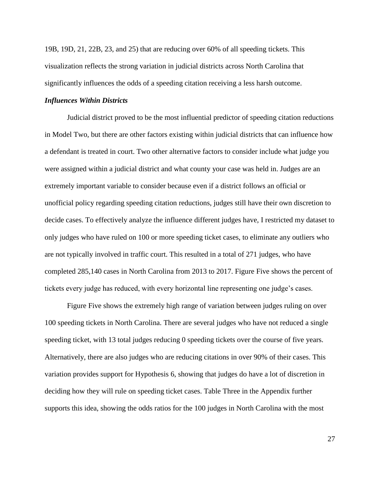19B, 19D, 21, 22B, 23, and 25) that are reducing over 60% of all speeding tickets. This visualization reflects the strong variation in judicial districts across North Carolina that significantly influences the odds of a speeding citation receiving a less harsh outcome.

#### *Influences Within Districts*

Judicial district proved to be the most influential predictor of speeding citation reductions in Model Two, but there are other factors existing within judicial districts that can influence how a defendant is treated in court. Two other alternative factors to consider include what judge you were assigned within a judicial district and what county your case was held in. Judges are an extremely important variable to consider because even if a district follows an official or unofficial policy regarding speeding citation reductions, judges still have their own discretion to decide cases. To effectively analyze the influence different judges have, I restricted my dataset to only judges who have ruled on 100 or more speeding ticket cases, to eliminate any outliers who are not typically involved in traffic court. This resulted in a total of 271 judges, who have completed 285,140 cases in North Carolina from 2013 to 2017. Figure Five shows the percent of tickets every judge has reduced, with every horizontal line representing one judge's cases.

Figure Five shows the extremely high range of variation between judges ruling on over 100 speeding tickets in North Carolina. There are several judges who have not reduced a single speeding ticket, with 13 total judges reducing 0 speeding tickets over the course of five years. Alternatively, there are also judges who are reducing citations in over 90% of their cases. This variation provides support for Hypothesis 6, showing that judges do have a lot of discretion in deciding how they will rule on speeding ticket cases. Table Three in the Appendix further supports this idea, showing the odds ratios for the 100 judges in North Carolina with the most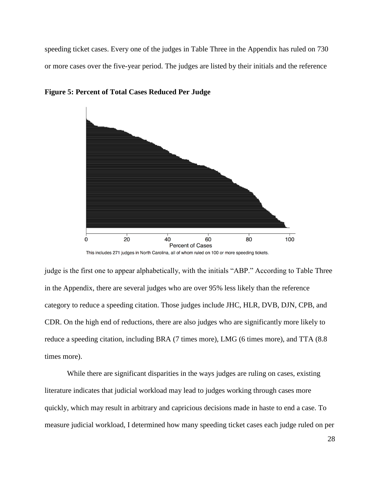speeding ticket cases. Every one of the judges in Table Three in the Appendix has ruled on 730 or more cases over the five-year period. The judges are listed by their initials and the reference



**Figure 5: Percent of Total Cases Reduced Per Judge** 

This includes 271 judges in North Carolina, all of whom ruled on 100 or more speeding tickets.

judge is the first one to appear alphabetically, with the initials "ABP." According to Table Three in the Appendix, there are several judges who are over 95% less likely than the reference category to reduce a speeding citation. Those judges include JHC, HLR, DVB, DJN, CPB, and CDR. On the high end of reductions, there are also judges who are significantly more likely to reduce a speeding citation, including BRA (7 times more), LMG (6 times more), and TTA (8.8 times more).

While there are significant disparities in the ways judges are ruling on cases, existing literature indicates that judicial workload may lead to judges working through cases more quickly, which may result in arbitrary and capricious decisions made in haste to end a case. To measure judicial workload, I determined how many speeding ticket cases each judge ruled on per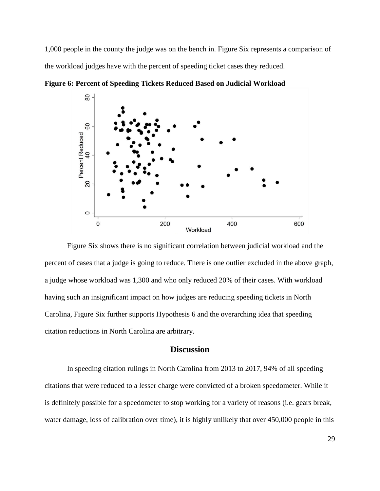1,000 people in the county the judge was on the bench in. Figure Six represents a comparison of the workload judges have with the percent of speeding ticket cases they reduced.



**Figure 6: Percent of Speeding Tickets Reduced Based on Judicial Workload**

Figure Six shows there is no significant correlation between judicial workload and the percent of cases that a judge is going to reduce. There is one outlier excluded in the above graph, a judge whose workload was 1,300 and who only reduced 20% of their cases. With workload having such an insignificant impact on how judges are reducing speeding tickets in North Carolina, Figure Six further supports Hypothesis 6 and the overarching idea that speeding citation reductions in North Carolina are arbitrary.

# **Discussion**

In speeding citation rulings in North Carolina from 2013 to 2017, 94% of all speeding citations that were reduced to a lesser charge were convicted of a broken speedometer. While it is definitely possible for a speedometer to stop working for a variety of reasons (i.e. gears break, water damage, loss of calibration over time), it is highly unlikely that over 450,000 people in this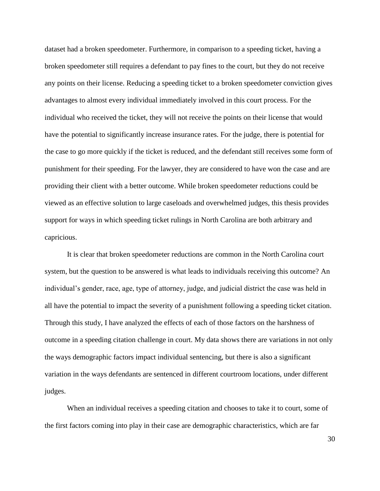dataset had a broken speedometer. Furthermore, in comparison to a speeding ticket, having a broken speedometer still requires a defendant to pay fines to the court, but they do not receive any points on their license. Reducing a speeding ticket to a broken speedometer conviction gives advantages to almost every individual immediately involved in this court process. For the individual who received the ticket, they will not receive the points on their license that would have the potential to significantly increase insurance rates. For the judge, there is potential for the case to go more quickly if the ticket is reduced, and the defendant still receives some form of punishment for their speeding. For the lawyer, they are considered to have won the case and are providing their client with a better outcome. While broken speedometer reductions could be viewed as an effective solution to large caseloads and overwhelmed judges, this thesis provides support for ways in which speeding ticket rulings in North Carolina are both arbitrary and capricious.

It is clear that broken speedometer reductions are common in the North Carolina court system, but the question to be answered is what leads to individuals receiving this outcome? An individual's gender, race, age, type of attorney, judge, and judicial district the case was held in all have the potential to impact the severity of a punishment following a speeding ticket citation. Through this study, I have analyzed the effects of each of those factors on the harshness of outcome in a speeding citation challenge in court. My data shows there are variations in not only the ways demographic factors impact individual sentencing, but there is also a significant variation in the ways defendants are sentenced in different courtroom locations, under different judges.

When an individual receives a speeding citation and chooses to take it to court, some of the first factors coming into play in their case are demographic characteristics, which are far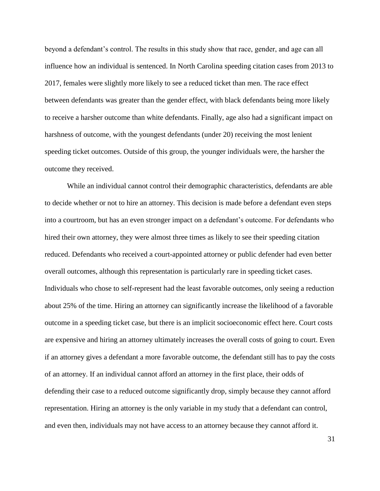beyond a defendant's control. The results in this study show that race, gender, and age can all influence how an individual is sentenced. In North Carolina speeding citation cases from 2013 to 2017, females were slightly more likely to see a reduced ticket than men. The race effect between defendants was greater than the gender effect, with black defendants being more likely to receive a harsher outcome than white defendants. Finally, age also had a significant impact on harshness of outcome, with the youngest defendants (under 20) receiving the most lenient speeding ticket outcomes. Outside of this group, the younger individuals were, the harsher the outcome they received.

While an individual cannot control their demographic characteristics, defendants are able to decide whether or not to hire an attorney. This decision is made before a defendant even steps into a courtroom, but has an even stronger impact on a defendant's outcome. For defendants who hired their own attorney, they were almost three times as likely to see their speeding citation reduced. Defendants who received a court-appointed attorney or public defender had even better overall outcomes, although this representation is particularly rare in speeding ticket cases. Individuals who chose to self-represent had the least favorable outcomes, only seeing a reduction about 25% of the time. Hiring an attorney can significantly increase the likelihood of a favorable outcome in a speeding ticket case, but there is an implicit socioeconomic effect here. Court costs are expensive and hiring an attorney ultimately increases the overall costs of going to court. Even if an attorney gives a defendant a more favorable outcome, the defendant still has to pay the costs of an attorney. If an individual cannot afford an attorney in the first place, their odds of defending their case to a reduced outcome significantly drop, simply because they cannot afford representation. Hiring an attorney is the only variable in my study that a defendant can control, and even then, individuals may not have access to an attorney because they cannot afford it.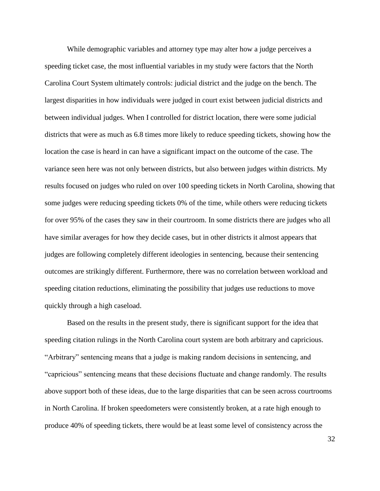While demographic variables and attorney type may alter how a judge perceives a speeding ticket case, the most influential variables in my study were factors that the North Carolina Court System ultimately controls: judicial district and the judge on the bench. The largest disparities in how individuals were judged in court exist between judicial districts and between individual judges. When I controlled for district location, there were some judicial districts that were as much as 6.8 times more likely to reduce speeding tickets, showing how the location the case is heard in can have a significant impact on the outcome of the case. The variance seen here was not only between districts, but also between judges within districts. My results focused on judges who ruled on over 100 speeding tickets in North Carolina, showing that some judges were reducing speeding tickets 0% of the time, while others were reducing tickets for over 95% of the cases they saw in their courtroom. In some districts there are judges who all have similar averages for how they decide cases, but in other districts it almost appears that judges are following completely different ideologies in sentencing, because their sentencing outcomes are strikingly different. Furthermore, there was no correlation between workload and speeding citation reductions, eliminating the possibility that judges use reductions to move quickly through a high caseload.

Based on the results in the present study, there is significant support for the idea that speeding citation rulings in the North Carolina court system are both arbitrary and capricious. "Arbitrary" sentencing means that a judge is making random decisions in sentencing, and "capricious" sentencing means that these decisions fluctuate and change randomly. The results above support both of these ideas, due to the large disparities that can be seen across courtrooms in North Carolina. If broken speedometers were consistently broken, at a rate high enough to produce 40% of speeding tickets, there would be at least some level of consistency across the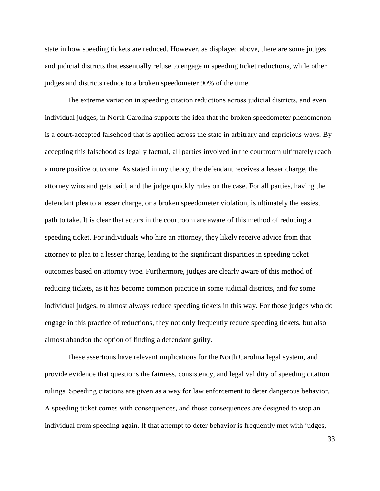state in how speeding tickets are reduced. However, as displayed above, there are some judges and judicial districts that essentially refuse to engage in speeding ticket reductions, while other judges and districts reduce to a broken speedometer 90% of the time.

The extreme variation in speeding citation reductions across judicial districts, and even individual judges, in North Carolina supports the idea that the broken speedometer phenomenon is a court-accepted falsehood that is applied across the state in arbitrary and capricious ways. By accepting this falsehood as legally factual, all parties involved in the courtroom ultimately reach a more positive outcome. As stated in my theory, the defendant receives a lesser charge, the attorney wins and gets paid, and the judge quickly rules on the case. For all parties, having the defendant plea to a lesser charge, or a broken speedometer violation, is ultimately the easiest path to take. It is clear that actors in the courtroom are aware of this method of reducing a speeding ticket. For individuals who hire an attorney, they likely receive advice from that attorney to plea to a lesser charge, leading to the significant disparities in speeding ticket outcomes based on attorney type. Furthermore, judges are clearly aware of this method of reducing tickets, as it has become common practice in some judicial districts, and for some individual judges, to almost always reduce speeding tickets in this way. For those judges who do engage in this practice of reductions, they not only frequently reduce speeding tickets, but also almost abandon the option of finding a defendant guilty.

These assertions have relevant implications for the North Carolina legal system, and provide evidence that questions the fairness, consistency, and legal validity of speeding citation rulings. Speeding citations are given as a way for law enforcement to deter dangerous behavior. A speeding ticket comes with consequences, and those consequences are designed to stop an individual from speeding again. If that attempt to deter behavior is frequently met with judges,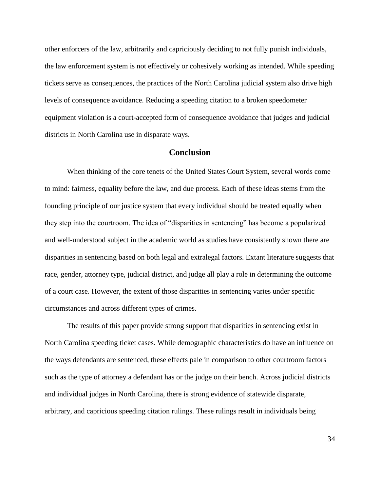other enforcers of the law, arbitrarily and capriciously deciding to not fully punish individuals, the law enforcement system is not effectively or cohesively working as intended. While speeding tickets serve as consequences, the practices of the North Carolina judicial system also drive high levels of consequence avoidance. Reducing a speeding citation to a broken speedometer equipment violation is a court-accepted form of consequence avoidance that judges and judicial districts in North Carolina use in disparate ways.

# **Conclusion**

When thinking of the core tenets of the United States Court System, several words come to mind: fairness, equality before the law, and due process. Each of these ideas stems from the founding principle of our justice system that every individual should be treated equally when they step into the courtroom. The idea of "disparities in sentencing" has become a popularized and well-understood subject in the academic world as studies have consistently shown there are disparities in sentencing based on both legal and extralegal factors. Extant literature suggests that race, gender, attorney type, judicial district, and judge all play a role in determining the outcome of a court case. However, the extent of those disparities in sentencing varies under specific circumstances and across different types of crimes.

The results of this paper provide strong support that disparities in sentencing exist in North Carolina speeding ticket cases. While demographic characteristics do have an influence on the ways defendants are sentenced, these effects pale in comparison to other courtroom factors such as the type of attorney a defendant has or the judge on their bench. Across judicial districts and individual judges in North Carolina, there is strong evidence of statewide disparate, arbitrary, and capricious speeding citation rulings. These rulings result in individuals being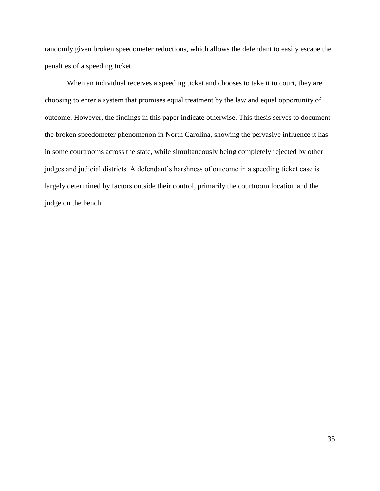randomly given broken speedometer reductions, which allows the defendant to easily escape the penalties of a speeding ticket.

When an individual receives a speeding ticket and chooses to take it to court, they are choosing to enter a system that promises equal treatment by the law and equal opportunity of outcome. However, the findings in this paper indicate otherwise. This thesis serves to document the broken speedometer phenomenon in North Carolina, showing the pervasive influence it has in some courtrooms across the state, while simultaneously being completely rejected by other judges and judicial districts. A defendant's harshness of outcome in a speeding ticket case is largely determined by factors outside their control, primarily the courtroom location and the judge on the bench.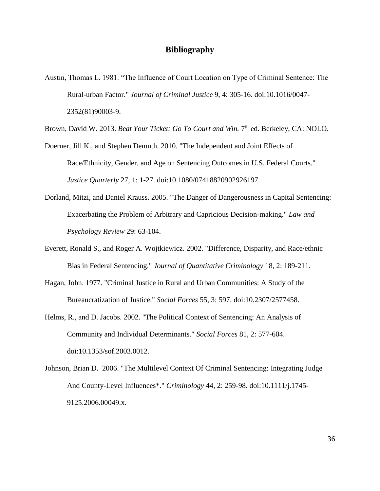# **Bibliography**

Austin, Thomas L. 1981. "The Influence of Court Location on Type of Criminal Sentence: The Rural-urban Factor." *Journal of Criminal Justice* 9, 4: 305-16. doi:10.1016/0047- 2352(81)90003-9.

Brown, David W. 2013. *Beat Your Ticket: Go To Court and Win*. 7<sup>th</sup> ed. Berkeley, CA: NOLO.

- Doerner, Jill K., and Stephen Demuth. 2010. "The Independent and Joint Effects of Race/Ethnicity, Gender, and Age on Sentencing Outcomes in U.S. Federal Courts." *Justice Quarterly* 27, 1: 1-27. doi:10.1080/07418820902926197.
- Dorland, Mitzi, and Daniel Krauss. 2005. "The Danger of Dangerousness in Capital Sentencing: Exacerbating the Problem of Arbitrary and Capricious Decision-making." *Law and Psychology Review* 29: 63-104.
- Everett, Ronald S., and Roger A. Wojtkiewicz. 2002. "Difference, Disparity, and Race/ethnic Bias in Federal Sentencing." *Journal of Quantitative Criminology* 18, 2: 189-211.
- Hagan, John. 1977. "Criminal Justice in Rural and Urban Communities: A Study of the Bureaucratization of Justice." *Social Forces* 55, 3: 597. doi:10.2307/2577458.
- Helms, R., and D. Jacobs. 2002. "The Political Context of Sentencing: An Analysis of Community and Individual Determinants." *Social Forces* 81, 2: 577-604. doi:10.1353/sof.2003.0012.
- Johnson, Brian D. 2006. "The Multilevel Context Of Criminal Sentencing: Integrating Judge And County-Level Influences\*." *Criminology* 44, 2: 259-98. doi:10.1111/j.1745- 9125.2006.00049.x.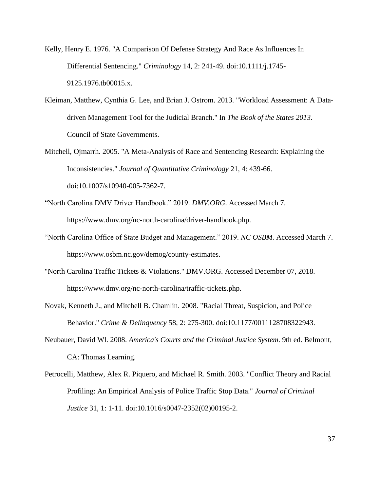- Kelly, Henry E. 1976. "A Comparison Of Defense Strategy And Race As Influences In Differential Sentencing." *Criminology* 14, 2: 241-49. doi:10.1111/j.1745- 9125.1976.tb00015.x.
- Kleiman, Matthew, Cynthia G. Lee, and Brian J. Ostrom. 2013. "Workload Assessment: A Datadriven Management Tool for the Judicial Branch." In *The Book of the States 2013*. Council of State Governments.
- Mitchell, Ojmarrh. 2005. "A Meta-Analysis of Race and Sentencing Research: Explaining the Inconsistencies." *Journal of Quantitative Criminology* 21, 4: 439-66. doi:10.1007/s10940-005-7362-7.
- "North Carolina DMV Driver Handbook." 2019. *DMV.ORG*. Accessed March 7. https://www.dmv.org/nc-north-carolina/driver-handbook.php.
- "North Carolina Office of State Budget and Management." 2019. *NC OSBM*. Accessed March 7. https://www.osbm.nc.gov/demog/county-estimates.
- "North Carolina Traffic Tickets & Violations." DMV.ORG. Accessed December 07, 2018. https://www.dmv.org/nc-north-carolina/traffic-tickets.php.
- Novak, Kenneth J., and Mitchell B. Chamlin. 2008. "Racial Threat, Suspicion, and Police Behavior." *Crime & Delinquency* 58, 2: 275-300. doi:10.1177/0011128708322943.
- Neubauer, David Wl. 2008. *America's Courts and the Criminal Justice System*. 9th ed. Belmont, CA: Thomas Learning.
- Petrocelli, Matthew, Alex R. Piquero, and Michael R. Smith. 2003. "Conflict Theory and Racial Profiling: An Empirical Analysis of Police Traffic Stop Data." *Journal of Criminal Justice* 31, 1: 1-11. doi:10.1016/s0047-2352(02)00195-2.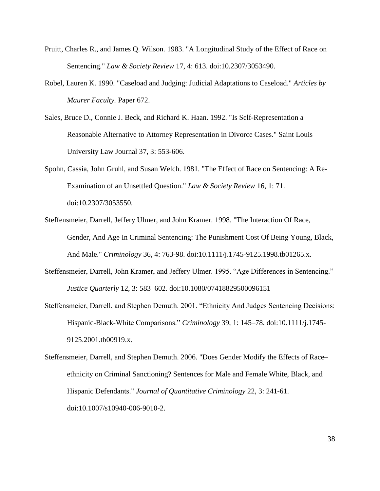- Pruitt, Charles R., and James Q. Wilson. 1983. "A Longitudinal Study of the Effect of Race on Sentencing." *Law & Society Review* 17, 4: 613. doi:10.2307/3053490.
- Robel, Lauren K. 1990. "Caseload and Judging: Judicial Adaptations to Caseload." *Articles by Maurer Faculty.* Paper 672.
- Sales, Bruce D., Connie J. Beck, and Richard K. Haan. 1992. "Is Self-Representation a Reasonable Alternative to Attorney Representation in Divorce Cases." Saint Louis University Law Journal 37, 3: 553-606.
- Spohn, Cassia, John Gruhl, and Susan Welch. 1981. "The Effect of Race on Sentencing: A Re-Examination of an Unsettled Question." *Law & Society Review* 16, 1: 71. doi:10.2307/3053550.
- Steffensmeier, Darrell, Jeffery Ulmer, and John Kramer. 1998. "The Interaction Of Race, Gender, And Age In Criminal Sentencing: The Punishment Cost Of Being Young, Black, And Male." *Criminology* 36, 4: 763-98. doi:10.1111/j.1745-9125.1998.tb01265.x.
- Steffensmeier, Darrell, John Kramer, and Jeffery Ulmer. 1995. "Age Differences in Sentencing." *Justice Quarterly* 12, 3: 583–602. doi:10.1080/07418829500096151
- Steffensmeier, Darrell, and Stephen Demuth. 2001. "Ethnicity And Judges Sentencing Decisions: Hispanic-Black-White Comparisons." *Criminology* 39, 1: 145–78. doi:10.1111/j.1745- 9125.2001.tb00919.x.
- Steffensmeier, Darrell, and Stephen Demuth. 2006. "Does Gender Modify the Effects of Race– ethnicity on Criminal Sanctioning? Sentences for Male and Female White, Black, and Hispanic Defendants." *Journal of Quantitative Criminology* 22, 3: 241-61. doi:10.1007/s10940-006-9010-2.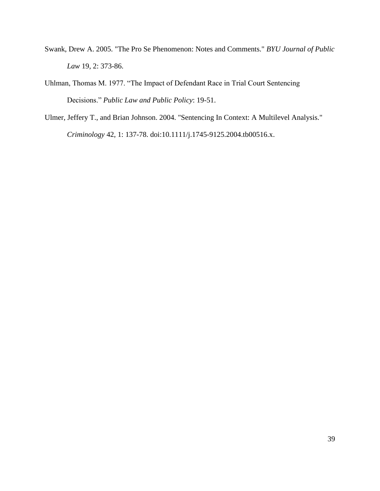- Swank, Drew A. 2005. "The Pro Se Phenomenon: Notes and Comments." *BYU Journal of Public Law* 19, 2: 373-86.
- Uhlman, Thomas M. 1977. "The Impact of Defendant Race in Trial Court Sentencing Decisions." *Public Law and Public Policy*: 19-51.
- Ulmer, Jeffery T., and Brian Johnson. 2004. "Sentencing In Context: A Multilevel Analysis."

*Criminology* 42, 1: 137-78. doi:10.1111/j.1745-9125.2004.tb00516.x.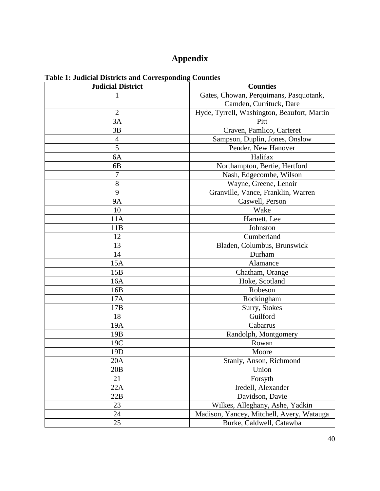# **Appendix**

| <b>Judicial District</b> | <b>Counties</b>                             |  |  |
|--------------------------|---------------------------------------------|--|--|
| 1                        | Gates, Chowan, Perquimans, Pasquotank,      |  |  |
|                          | Camden, Currituck, Dare                     |  |  |
| $\overline{2}$           | Hyde, Tyrrell, Washington, Beaufort, Martin |  |  |
| 3A                       | Pitt                                        |  |  |
| 3B                       | Craven, Pamlico, Carteret                   |  |  |
| $\overline{4}$           | Sampson, Duplin, Jones, Onslow              |  |  |
| 5                        | Pender, New Hanover                         |  |  |
| 6A                       | Halifax                                     |  |  |
| 6B                       | Northampton, Bertie, Hertford               |  |  |
| 7                        | Nash, Edgecombe, Wilson                     |  |  |
| 8                        | Wayne, Greene, Lenoir                       |  |  |
| 9                        | Granville, Vance, Franklin, Warren          |  |  |
| <b>9A</b>                | Caswell, Person                             |  |  |
| 10                       | Wake                                        |  |  |
| 11A                      | Harnett, Lee                                |  |  |
| 11B                      | Johnston                                    |  |  |
| 12                       | Cumberland                                  |  |  |
| 13                       | Bladen, Columbus, Brunswick                 |  |  |
| 14                       | Durham                                      |  |  |
| 15A                      | Alamance                                    |  |  |
| 15B                      | Chatham, Orange                             |  |  |
| 16A                      | Hoke, Scotland                              |  |  |
| 16B                      | Robeson                                     |  |  |
| 17A                      | Rockingham                                  |  |  |
| 17B                      | Surry, Stokes                               |  |  |
| 18                       | Guilford                                    |  |  |
| 19A                      | Cabarrus                                    |  |  |
| 19B                      | Randolph, Montgomery                        |  |  |
| 19C                      | Rowan                                       |  |  |
| 19 <sub>D</sub>          | Moore                                       |  |  |
| 20A                      | Stanly, Anson, Richmond                     |  |  |
| 20B                      | Union                                       |  |  |
| 21                       | Forsyth                                     |  |  |
| 22A                      | Iredell, Alexander                          |  |  |
| 22B                      | Davidson, Davie                             |  |  |
| 23                       | Wilkes, Alleghany, Ashe, Yadkin             |  |  |
| 24                       | Madison, Yancey, Mitchell, Avery, Watauga   |  |  |
| 25                       | Burke, Caldwell, Catawba                    |  |  |

# **Table 1: Judicial Districts and Corresponding Counties**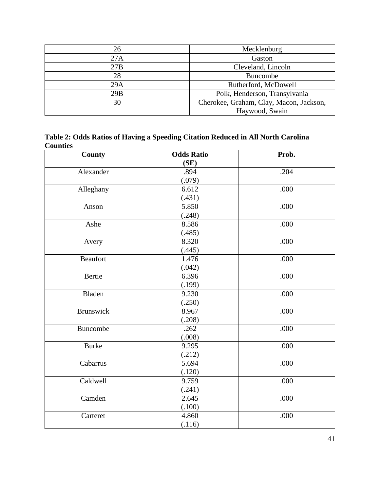| 26  | Mecklenburg                             |
|-----|-----------------------------------------|
| 27A | Gaston                                  |
| 27B | Cleveland, Lincoln                      |
| 28  | <b>Buncombe</b>                         |
| 29A | Rutherford, McDowell                    |
| 29B | Polk, Henderson, Transylvania           |
| 30  | Cherokee, Graham, Clay, Macon, Jackson, |
|     | Haywood, Swain                          |

**Table 2: Odds Ratios of Having a Speeding Citation Reduced in All North Carolina Counties**

| County           | <b>Odds Ratio</b> | Prob. |
|------------------|-------------------|-------|
|                  | (SE)              |       |
| Alexander        | .894              | .204  |
|                  | (.079)            |       |
| Alleghany        | 6.612             | .000  |
|                  | (.431)            |       |
| Anson            | 5.850             | .000  |
|                  | (.248)            |       |
| Ashe             | 8.586             | .000  |
|                  | (.485)            |       |
| Avery            | 8.320             | .000  |
|                  | (.445)            |       |
| Beaufort         | 1.476             | .000  |
|                  | (.042)            |       |
| Bertie           | 6.396             | .000  |
|                  | (.199)            |       |
| Bladen           | 9.230             | .000  |
|                  | (.250)            |       |
| <b>Brunswick</b> | 8.967             | .000  |
|                  | (.208)            |       |
| <b>Buncombe</b>  | .262              | .000  |
|                  | (.008)            |       |
| <b>Burke</b>     | 9.295             | .000  |
|                  | (.212)            |       |
| Cabarrus         | 5.694             | .000  |
|                  | (.120)            |       |
| Caldwell         | 9.759             | .000  |
|                  | (.241)            |       |
| Camden           | 2.645             | .000  |
|                  | (.100)            |       |
| Carteret         | 4.860             | .000  |
|                  | (.116)            |       |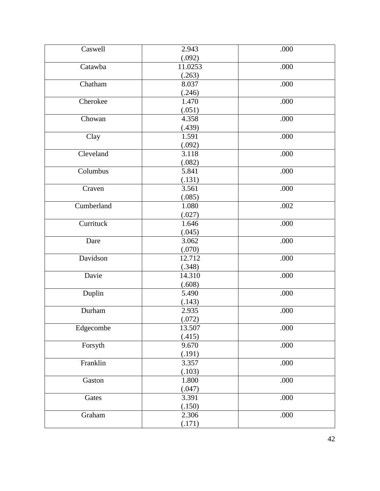| Caswell    | 2.943   | .000 |
|------------|---------|------|
|            | (.092)  |      |
| Catawba    | 11.0253 | .000 |
|            | (.263)  |      |
| Chatham    | 8.037   | .000 |
|            | (.246)  |      |
| Cherokee   | 1.470   | .000 |
|            | (.051)  |      |
| Chowan     | 4.358   | .000 |
|            | (.439)  |      |
| Clay       | 1.591   | .000 |
|            | (.092)  |      |
| Cleveland  | 3.118   | .000 |
|            | (.082)  |      |
| Columbus   | 5.841   | .000 |
|            | (.131)  |      |
| Craven     | 3.561   | .000 |
|            | (.085)  |      |
| Cumberland | 1.080   | .002 |
|            | (.027)  |      |
| Currituck  | 1.646   | .000 |
|            | (.045)  |      |
| Dare       | 3.062   | .000 |
|            | (.070)  |      |
| Davidson   | 12.712  | .000 |
|            | (.348)  |      |
| Davie      | 14.310  | .000 |
|            | (.608)  |      |
| Duplin     | 5.490   | .000 |
|            | (.143)  |      |
| Durham     | 2.935   | .000 |
|            | (.072)  |      |
| Edgecombe  | 13.507  | .000 |
|            | (.415)  |      |
| Forsyth    | 9.670   | .000 |
|            | (.191)  |      |
| Franklin   | 3.357   | .000 |
|            | (.103)  |      |
| Gaston     | 1.800   | .000 |
|            | (.047)  |      |
| Gates      | 3.391   | .000 |
|            | (.150)  |      |
| Graham     | 2.306   | .000 |
|            | (.171)  |      |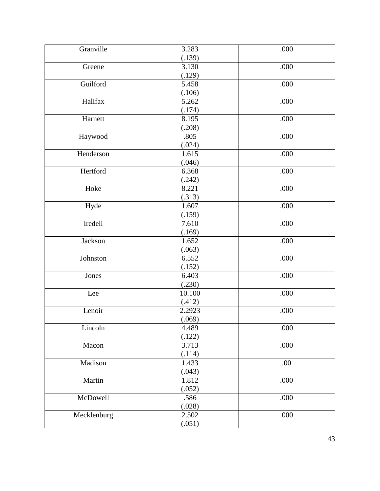| Granville   | 3.283  | .000 |
|-------------|--------|------|
|             | (.139) |      |
| Greene      | 3.130  | .000 |
|             | (.129) |      |
| Guilford    | 5.458  | .000 |
|             | (.106) |      |
| Halifax     | 5.262  | .000 |
|             | (.174) |      |
| Harnett     | 8.195  | .000 |
|             | (.208) |      |
| Haywood     | .805   | .000 |
|             | (.024) |      |
| Henderson   | 1.615  | .000 |
|             | (.046) |      |
| Hertford    | 6.368  | .000 |
|             | (.242) |      |
| Hoke        | 8.221  | .000 |
|             | (.313) |      |
| Hyde        | 1.607  | .000 |
|             | (.159) |      |
| Iredell     | 7.610  | .000 |
|             | (.169) |      |
| Jackson     | 1.652  | .000 |
|             | (.063) |      |
| Johnston    | 6.552  | .000 |
|             | (.152) |      |
| Jones       | 6.403  | .000 |
|             | (.230) |      |
| Lee         | 10.100 | .000 |
|             | (.412) |      |
| Lenoir      | 2.2923 | .000 |
|             | (.069) |      |
| Lincoln     | 4.489  | .000 |
|             | (.122) |      |
| Macon       | 3.713  | .000 |
|             | (.114) |      |
| Madison     | 1.433  | .00  |
|             | (.043) |      |
| Martin      | 1.812  | .000 |
|             | (.052) |      |
| McDowell    | .586   | .000 |
|             | (.028) |      |
| Mecklenburg | 2.502  | .000 |
|             | (.051) |      |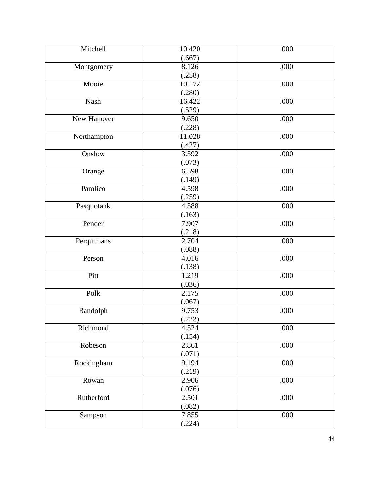| Mitchell    | 10.420          | .000 |
|-------------|-----------------|------|
|             | (.667)          |      |
|             | 8.126           | .000 |
| Montgomery  | (.258)          |      |
| Moore       | 10.172          | .000 |
|             | (.280)          |      |
| Nash        | 16.422          | .000 |
|             | (.529)          |      |
| New Hanover | 9.650           | .000 |
|             | (.228)          |      |
| Northampton | 11.028          | .000 |
|             |                 |      |
| Onslow      | (.427)<br>3.592 | .000 |
|             |                 |      |
|             | (.073)<br>6.598 | .000 |
| Orange      |                 |      |
| Pamlico     | (.149)          |      |
|             | 4.598           | .000 |
|             | (.259)<br>4.588 | .000 |
| Pasquotank  |                 |      |
|             | (.163)          |      |
| Pender      | 7.907           | .000 |
|             | (.218)<br>2.704 |      |
| Perquimans  |                 | .000 |
| Person      | (.088)<br>4.016 | .000 |
|             |                 |      |
| Pitt        | (.138)<br>1.219 | .000 |
|             | (.036)          |      |
| Polk        | 2.175           | .000 |
|             |                 |      |
| Randolph    | (.067)<br>9.753 | .000 |
|             | (.222)          |      |
| Richmond    | 4.524           | .000 |
|             | (.154)          |      |
|             | 2.861           | .000 |
| Robeson     | (.071)          |      |
| Rockingham  | 9.194           | .000 |
|             |                 |      |
|             | (.219)<br>2.906 | .000 |
| Rowan       |                 |      |
|             | (.076)          |      |
| Rutherford  | 2.501           | .000 |
|             | (.082)          |      |
| Sampson     | 7.855           | .000 |
|             | (.224)          |      |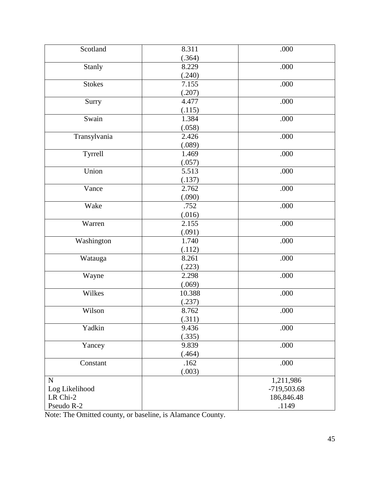| Scotland       | 8.311  | .000        |
|----------------|--------|-------------|
|                | (.364) |             |
| Stanly         | 8.229  | .000        |
|                | (.240) |             |
| <b>Stokes</b>  | 7.155  | .000        |
|                | (.207) |             |
| Surry          | 4.477  | .000        |
|                | (.115) |             |
| Swain          | 1.384  | .000        |
|                | (.058) |             |
| Transylvania   | 2.426  | .000        |
|                | (.089) |             |
| Tyrrell        | 1.469  | .000        |
|                | (.057) |             |
| Union          | 5.513  | .000        |
|                | (.137) |             |
| Vance          | 2.762  | .000        |
|                | (.090) |             |
| Wake           | .752   | .000        |
|                | (.016) |             |
| Warren         | 2.155  | .000        |
|                | (.091) |             |
| Washington     | 1.740  | .000        |
|                | (.112) |             |
| Watauga        | 8.261  | .000        |
|                | (.223) |             |
| Wayne          | 2.298  | .000        |
|                | (.069) |             |
| Wilkes         | 10.388 | .000        |
|                | (.237) |             |
| Wilson         | 8.762  | .000        |
|                | (.311) |             |
| Yadkin         | 9.436  | .000        |
|                | (.335) |             |
| Yancey         | 9.839  | .000        |
|                | (.464) |             |
| Constant       | .162   | .000        |
|                | (.003) |             |
| $\mathbf N$    |        | 1,211,986   |
| Log Likelihood |        | -719,503.68 |
| LR Chi-2       |        | 186,846.48  |
| Pseudo R-2     |        | .1149       |

Note: The Omitted county, or baseline, is Alamance County.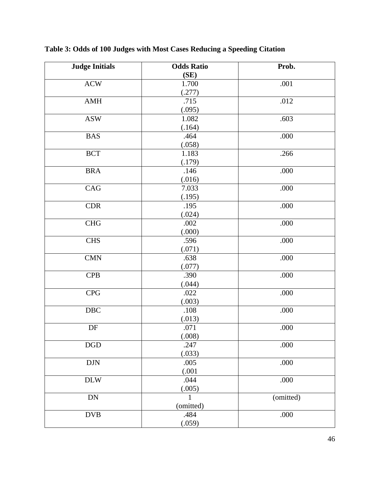| <b>Judge Initials</b>       | <b>Odds Ratio</b> | Prob.     |
|-----------------------------|-------------------|-----------|
|                             | (SE)              |           |
| $\boldsymbol{\mathrm{ACW}}$ | 1.700             | .001      |
|                             | (.277)            |           |
| AMH                         | .715              | .012      |
|                             | (.095)            |           |
| <b>ASW</b>                  | 1.082             | .603      |
|                             | (.164)            |           |
| <b>BAS</b>                  | .464              | .000      |
|                             | (.058)            |           |
| BCT                         | 1.183             | .266      |
|                             | (.179)            |           |
| $\rm BRA$                   | .146              | .000      |
|                             | (.016)            |           |
| CAG                         | 7.033             | .000      |
|                             | (.195)            |           |
| CDR                         | .195              | .000      |
|                             | (.024)            |           |
| CHG                         | .002              | .000      |
|                             | (.000)            |           |
| <b>CHS</b>                  | .596              | .000      |
|                             | (.071)            |           |
| CMN                         | .638              | .000      |
|                             | (.077)            |           |
| <b>CPB</b>                  | .390              | .000      |
|                             | (.044)            |           |
| <b>CPG</b>                  | .022              | .000      |
|                             | (.003)            |           |
| $\rm DBC$                   | .108              | .000      |
|                             | (.013)            |           |
| $\ensuremath{\mathsf{DF}}$  | .071              | .000      |
|                             | (.008)            |           |
| $\rm DGD$                   | .247              | .000      |
|                             | (.033)            |           |
| $\rm{D}\rm{J}\rm{N}$        | .005              | .000      |
|                             | (.001)            |           |
| $\rm{DLW}$                  | .044              | .000      |
|                             | (.005)            |           |
| ${\rm DN}$                  |                   | (omitted) |
|                             | (omitted)         |           |
| $\mathbf{DVB}$              | .484              | .000      |
|                             | (.059)            |           |

**Table 3: Odds of 100 Judges with Most Cases Reducing a Speeding Citation**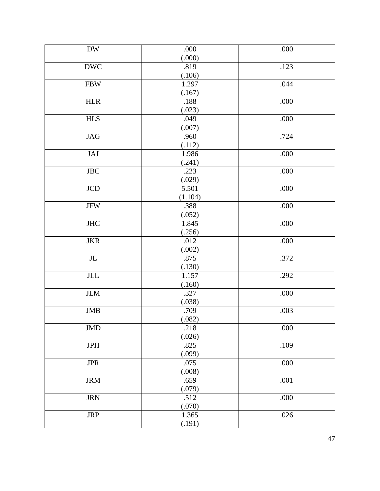| <b>DW</b>                 | .000    | .000 |
|---------------------------|---------|------|
|                           | (.000)  |      |
| <b>DWC</b>                | .819    | .123 |
|                           | (.106)  |      |
| ${\rm FBW}$               | 1.297   | .044 |
|                           | (.167)  |      |
| ${\rm HLR}$               | .188    | .000 |
|                           | (.023)  |      |
| <b>HLS</b>                | .049    | .000 |
|                           | (.007)  |      |
| <b>JAG</b>                | .960    | .724 |
|                           | (.112)  |      |
| JAJ                       | 1.986   | .000 |
|                           | (.241)  |      |
| $_{\mathrm{JBC}}$         | .223    | .000 |
|                           | (.029)  |      |
| $\rm JCD$                 | 5.501   | .000 |
|                           | (1.104) |      |
| $_{\mathrm{JFW}}$         | .388    | .000 |
|                           | (.052)  |      |
| <b>JHC</b>                | 1.845   | .000 |
|                           | (.256)  |      |
| $_{\rm{JKR}}$             | .012    | .000 |
|                           | (.002)  |      |
| $\rm JL$                  | .875    | .372 |
|                           | (.130)  |      |
| $\ensuremath{\text{JLL}}$ | 1.157   | .292 |
|                           | (.160)  |      |
| <b>JLM</b>                | .327    | .000 |
|                           | (.038)  |      |
| <b>JMB</b>                | .709    | .003 |
|                           | (.082)  |      |
| <b>JMD</b>                | .218    | .000 |
|                           | (.026)  |      |
| <b>JPH</b>                | .825    | .109 |
|                           | (.099)  |      |
| $\rm JPR$                 | .075    | .000 |
|                           | (.008)  |      |
| <b>JRM</b>                | .659    | .001 |
|                           | (.079)  |      |
| <b>JRN</b>                | .512    | .000 |
|                           | (.070)  |      |
| <b>JRP</b>                | 1.365   | .026 |
|                           | (.191)  |      |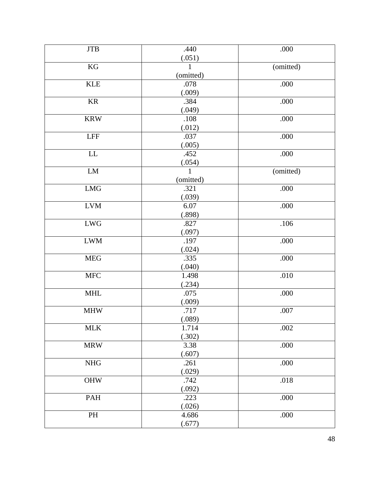| <b>JTB</b>                  | .440         | .000      |
|-----------------------------|--------------|-----------|
|                             | (.051)       |           |
| $\mathbf{KG}$               | 1            | (omitted) |
|                             | (omitted)    |           |
| <b>KLE</b>                  | .078         | .000      |
|                             | (.009)       |           |
| <b>KR</b>                   | .384         | .000      |
|                             | (.049)       |           |
| <b>KRW</b>                  | .108         | .000      |
|                             | (.012)       |           |
| $\ensuremath{\mathsf{LFF}}$ | .037         | .000      |
|                             | (.005)       |           |
| ${\rm LL}$                  | .452         | .000      |
|                             | (.054)       |           |
| ${\rm LM}$                  | $\mathbf{1}$ | (omitted) |
|                             | (omitted)    |           |
| ${\rm LMG}$                 | .321         | .000      |
|                             | (.039)       |           |
| ${\rm LVM}$                 | 6.07         | .000      |
|                             | (.898)       |           |
| ${\rm LWG}$                 | .827         | .106      |
|                             | (.097)       |           |
| <b>LWM</b>                  | .197         | .000      |
|                             | (.024)       |           |
| ${\rm MEG}$                 | .335         | .000      |
|                             | (.040)       |           |
| ${\rm MFC}$                 | 1.498        | .010      |
|                             | (.234)       |           |
| $\text{MHL}$                | .075         | .000      |
|                             | (.009)       |           |
| <b>MHW</b>                  | .717         | .007      |
|                             | (.089)       |           |
| $\text{MLK}$                | 1.714        | .002      |
|                             | (.302)       |           |
| <b>MRW</b>                  | 3.38         | .000      |
|                             | (.607)       |           |
| NHG                         | .261         | .000      |
|                             | (.029)       |           |
| OHW                         | .742         | .018      |
|                             | (.092)       |           |
| PAH                         | .223         | .000      |
|                             | (.026)       |           |
| $\mathbf{PH}$               | 4.686        | .000      |
|                             | (.677)       |           |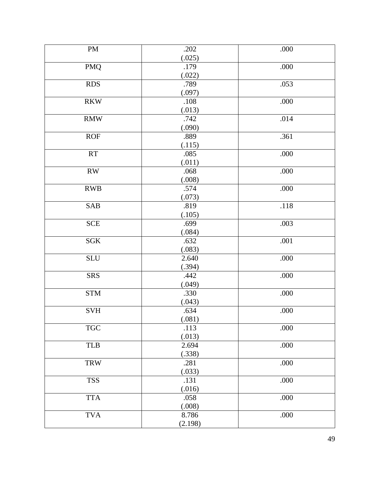| <b>PM</b>                        | .202     | .000 |
|----------------------------------|----------|------|
|                                  | (.025)   |      |
| <b>PMQ</b>                       | .179     | .000 |
|                                  | (.022)   |      |
| <b>RDS</b>                       | .789     | .053 |
|                                  | (.097)   |      |
| $\mathbf{R}\mathbf{K}\mathbf{W}$ | $.108\,$ | .000 |
|                                  | (.013)   |      |
| $\mathbf{R}\mathbf{M}\mathbf{W}$ | .742     | .014 |
|                                  | (.090)   |      |
| <b>ROF</b>                       | .889     | .361 |
|                                  | (.115)   |      |
| <b>RT</b>                        | .085     | .000 |
|                                  | (.011)   |      |
| RW                               | .068     | .000 |
|                                  | (.008)   |      |
| ${\rm RWB}$                      | .574     | .000 |
|                                  | (.073)   |      |
| SAB                              | .819     | .118 |
|                                  | (.105)   |      |
| <b>SCE</b>                       | .699     | .003 |
|                                  | (.084)   |      |
| $SGK$                            | .632     | .001 |
|                                  | (.083)   |      |
| <b>SLU</b>                       | 2.640    | .000 |
|                                  | (.394)   |      |
| <b>SRS</b>                       | .442     | .000 |
|                                  | (.049)   |      |
| ${\rm STM}$                      | .330     | .000 |
|                                  | (.043)   |      |
| SVH                              | .634     | .000 |
|                                  | (.081)   |      |
| $\operatorname{TGC}$             | .113     | .000 |
|                                  | (.013)   |      |
| <b>TLB</b>                       | 2.694    | .000 |
|                                  | (.338)   |      |
| <b>TRW</b>                       | .281     | .000 |
|                                  | (.033)   |      |
| <b>TSS</b>                       | .131     | .000 |
|                                  | (.016)   |      |
| <b>TTA</b>                       | .058     | .000 |
|                                  | (.008)   |      |
| <b>TVA</b>                       | 8.786    | .000 |
|                                  | (2.198)  |      |